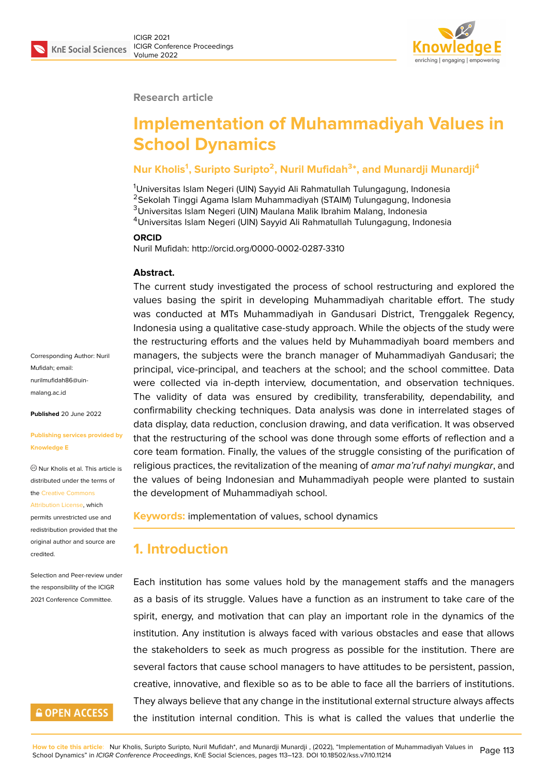

#### **Research article**

# **Implementation of Muhammadiyah Values in School Dynamics**

### **Nur Kholis<sup>1</sup> , Suripto Suripto<sup>2</sup> , Nuril Mufidah<sup>3</sup> \*, and Munardji Munardji<sup>4</sup>**

<sup>1</sup>Universitas Islam Negeri (UIN) Sayyid Ali Rahmatullah Tulungagung, Indonesia Sekolah Tinggi Agama Islam Muhammadiyah (STAIM) Tulungagung, Indonesia Universitas Islam Negeri (UIN) Maulana Malik Ibrahim Malang, Indonesia Universitas Islam Negeri (UIN) Sayyid Ali Rahmatullah Tulungagung, Indonesia

#### **ORCID**

Nuril Mufidah: http://orcid.org/0000-0002-0287-3310

#### **Abstract.**

The current study investigated the process of school restructuring and explored the values basing the spirit in developing Muhammadiyah charitable effort. The study was conducted at MTs Muhammadiyah in Gandusari District, Trenggalek Regency, Indonesia using a qualitative case-study approach. While the objects of the study were the restructuring efforts and the values held by Muhammadiyah board members and managers, the subjects were the branch manager of Muhammadiyah Gandusari; the principal, vice-principal, and teachers at the school; and the school committee. Data were collected via in-depth interview, documentation, and observation techniques. The validity of data was ensured by credibility, transferability, dependability, and confirmability checking techniques. Data analysis was done in interrelated stages of data display, data reduction, conclusion drawing, and data verification. It was observed that the restructuring of the school was done through some efforts of reflection and a core team formation. Finally, the values of the struggle consisting of the purification of religious practices, the revitalization of the meaning of *amar ma'ruf nahyi mungkar*, and the values of being Indonesian and Muhammadiyah people were planted to sustain the development of Muhammadiyah school.

**Keywords:** implementation of values, school dynamics

### **1. Introduction**

Each institution has some values hold by the management staffs and the managers as a basis of its struggle. Values have a function as an instrument to take care of the spirit, energy, and motivation that can play an important role in the dynamics of the institution. Any institution is always faced with various obstacles and ease that allows the stakeholders to seek as much progress as possible for the institution. There are several factors that cause school managers to have attitudes to be persistent, passion, creative, innovative, and flexible so as to be able to face all the barriers of institutions. They always believe that any change in the institutional external structure always affects the institution internal condition. This is what is called the values that underlie the

Corresponding Author: Nuril Mufidah; email: nurilmufidah86@uinmalang.ac.id

**Published** 20 June 2022

#### **[Publishing se](mailto:nurilmufidah86@uin-malang.ac.id)rvices provided by Knowledge E**

Nur Kholis et al. This article is distributed under the terms of the Creative Commons

Attribution License, which

permits unrestricted use and redistribution provided that the orig[inal author and sou](https://creativecommons.org/licenses/by/4.0/)rce are [credited.](https://creativecommons.org/licenses/by/4.0/)

Selection and Peer-review under the responsibility of the ICIGR 2021 Conference Committee.

# **GOPEN ACCESS**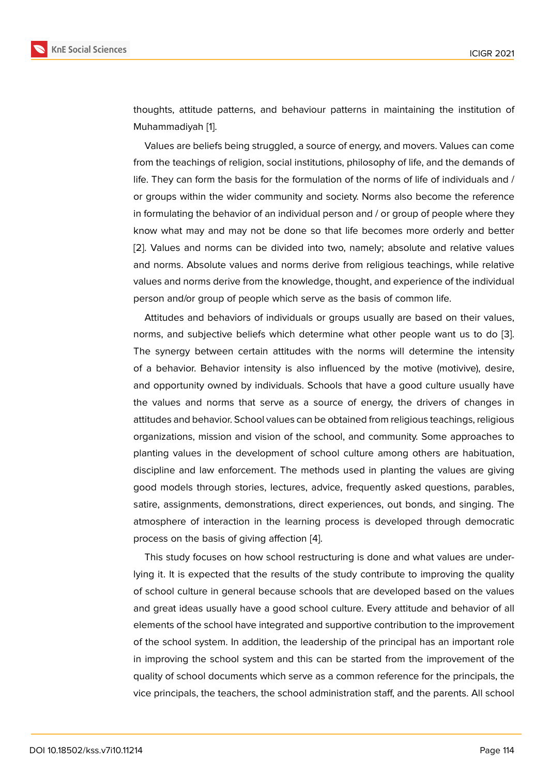thoughts, attitude patterns, and behaviour patterns in maintaining the institution of Muhammadiyah [1].

Values are beliefs being struggled, a source of energy, and movers. Values can come from the teachings of religion, social institutions, philosophy of life, and the demands of life. They can for[m](#page-9-0) the basis for the formulation of the norms of life of individuals and / or groups within the wider community and society. Norms also become the reference in formulating the behavior of an individual person and / or group of people where they know what may and may not be done so that life becomes more orderly and better [2]. Values and norms can be divided into two, namely; absolute and relative values and norms. Absolute values and norms derive from religious teachings, while relative values and norms derive from the knowledge, thought, and experience of the individual [pe](#page-9-1)rson and/or group of people which serve as the basis of common life.

Attitudes and behaviors of individuals or groups usually are based on their values, norms, and subjective beliefs which determine what other people want us to do [3]. The synergy between certain attitudes with the norms will determine the intensity of a behavior. Behavior intensity is also influenced by the motive (motivive), desire, and opportunity owned by individuals. Schools that have a good culture usually h[ave](#page-9-2) the values and norms that serve as a source of energy, the drivers of changes in attitudes and behavior. School values can be obtained from religious teachings, religious organizations, mission and vision of the school, and community. Some approaches to planting values in the development of school culture among others are habituation, discipline and law enforcement. The methods used in planting the values are giving good models through stories, lectures, advice, frequently asked questions, parables, satire, assignments, demonstrations, direct experiences, out bonds, and singing. The atmosphere of interaction in the learning process is developed through democratic process on the basis of giving affection [4].

This study focuses on how school restructuring is done and what values are underlying it. It is expected that the results of the study contribute to improving the quality of school culture in general because sc[ho](#page-9-3)ols that are developed based on the values and great ideas usually have a good school culture. Every attitude and behavior of all elements of the school have integrated and supportive contribution to the improvement of the school system. In addition, the leadership of the principal has an important role in improving the school system and this can be started from the improvement of the quality of school documents which serve as a common reference for the principals, the vice principals, the teachers, the school administration staff, and the parents. All school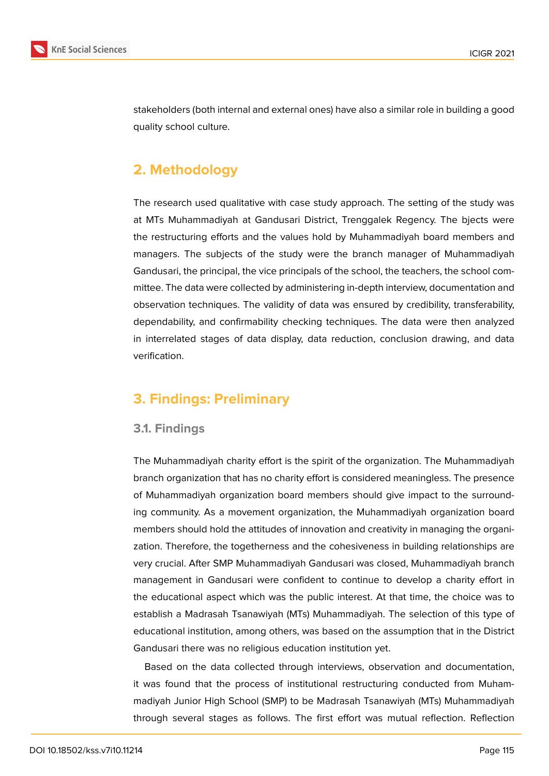

stakeholders (both internal and external ones) have also a similar role in building a good quality school culture.

# **2. Methodology**

The research used qualitative with case study approach. The setting of the study was at MTs Muhammadiyah at Gandusari District, Trenggalek Regency. The bjects were the restructuring efforts and the values hold by Muhammadiyah board members and managers. The subjects of the study were the branch manager of Muhammadiyah Gandusari, the principal, the vice principals of the school, the teachers, the school committee. The data were collected by administering in-depth interview, documentation and observation techniques. The validity of data was ensured by credibility, transferability, dependability, and confirmability checking techniques. The data were then analyzed in interrelated stages of data display, data reduction, conclusion drawing, and data verification.

# **3. Findings: Preliminary**

### **3.1. Findings**

The Muhammadiyah charity effort is the spirit of the organization. The Muhammadiyah branch organization that has no charity effort is considered meaningless. The presence of Muhammadiyah organization board members should give impact to the surrounding community. As a movement organization, the Muhammadiyah organization board members should hold the attitudes of innovation and creativity in managing the organization. Therefore, the togetherness and the cohesiveness in building relationships are very crucial. After SMP Muhammadiyah Gandusari was closed, Muhammadiyah branch management in Gandusari were confident to continue to develop a charity effort in the educational aspect which was the public interest. At that time, the choice was to establish a Madrasah Tsanawiyah (MTs) Muhammadiyah. The selection of this type of educational institution, among others, was based on the assumption that in the District Gandusari there was no religious education institution yet.

Based on the data collected through interviews, observation and documentation, it was found that the process of institutional restructuring conducted from Muhammadiyah Junior High School (SMP) to be Madrasah Tsanawiyah (MTs) Muhammadiyah through several stages as follows. The first effort was mutual reflection. Reflection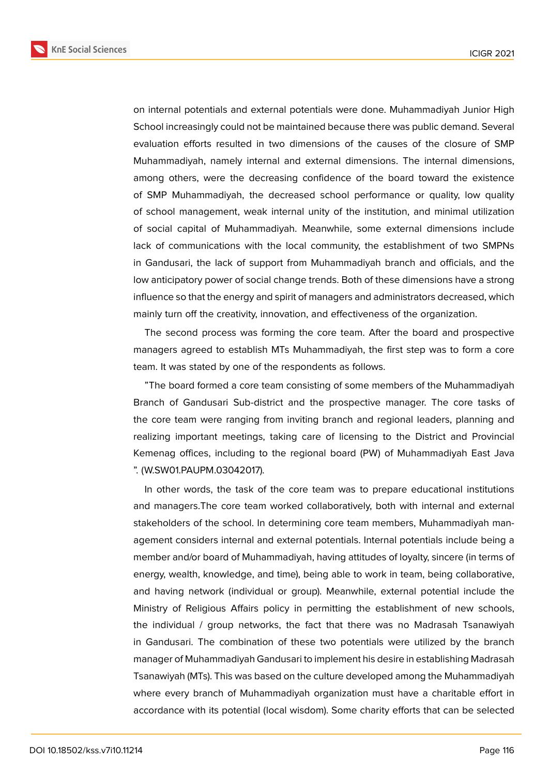**KnE Social Sciences** 



on internal potentials and external potentials were done. Muhammadiyah Junior High School increasingly could not be maintained because there was public demand. Several evaluation efforts resulted in two dimensions of the causes of the closure of SMP Muhammadiyah, namely internal and external dimensions. The internal dimensions, among others, were the decreasing confidence of the board toward the existence of SMP Muhammadiyah, the decreased school performance or quality, low quality of school management, weak internal unity of the institution, and minimal utilization of social capital of Muhammadiyah. Meanwhile, some external dimensions include lack of communications with the local community, the establishment of two SMPNs in Gandusari, the lack of support from Muhammadiyah branch and officials, and the low anticipatory power of social change trends. Both of these dimensions have a strong influence so that the energy and spirit of managers and administrators decreased, which mainly turn off the creativity, innovation, and effectiveness of the organization.

The second process was forming the core team. After the board and prospective managers agreed to establish MTs Muhammadiyah, the first step was to form a core team. It was stated by one of the respondents as follows.

"The board formed a core team consisting of some members of the Muhammadiyah Branch of Gandusari Sub-district and the prospective manager. The core tasks of the core team were ranging from inviting branch and regional leaders, planning and realizing important meetings, taking care of licensing to the District and Provincial Kemenag offices, including to the regional board (PW) of Muhammadiyah East Java ". (W.SW01.PAUPM.03042017).

In other words, the task of the core team was to prepare educational institutions and managers.The core team worked collaboratively, both with internal and external stakeholders of the school. In determining core team members, Muhammadiyah management considers internal and external potentials. Internal potentials include being a member and/or board of Muhammadiyah, having attitudes of loyalty, sincere (in terms of energy, wealth, knowledge, and time), being able to work in team, being collaborative, and having network (individual or group). Meanwhile, external potential include the Ministry of Religious Affairs policy in permitting the establishment of new schools, the individual / group networks, the fact that there was no Madrasah Tsanawiyah in Gandusari. The combination of these two potentials were utilized by the branch manager of Muhammadiyah Gandusari to implement his desire in establishing Madrasah Tsanawiyah (MTs). This was based on the culture developed among the Muhammadiyah where every branch of Muhammadiyah organization must have a charitable effort in accordance with its potential (local wisdom). Some charity efforts that can be selected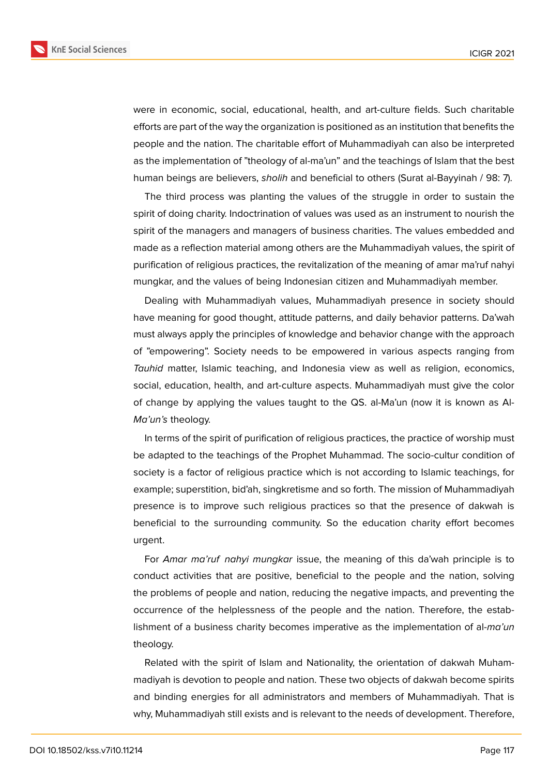

were in economic, social, educational, health, and art-culture fields. Such charitable efforts are part of the way the organization is positioned as an institution that benefits the people and the nation. The charitable effort of Muhammadiyah can also be interpreted as the implementation of "theology of al-ma'un" and the teachings of Islam that the best human beings are believers, *sholih* and beneficial to others (Surat al-Bayyinah / 98: 7).

The third process was planting the values of the struggle in order to sustain the spirit of doing charity. Indoctrination of values was used as an instrument to nourish the spirit of the managers and managers of business charities. The values embedded and made as a reflection material among others are the Muhammadiyah values, the spirit of purification of religious practices, the revitalization of the meaning of amar ma'ruf nahyi mungkar, and the values of being Indonesian citizen and Muhammadiyah member.

Dealing with Muhammadiyah values, Muhammadiyah presence in society should have meaning for good thought, attitude patterns, and daily behavior patterns. Da'wah must always apply the principles of knowledge and behavior change with the approach of "empowering". Society needs to be empowered in various aspects ranging from *Tauhid* matter, Islamic teaching, and Indonesia view as well as religion, economics, social, education, health, and art-culture aspects. Muhammadiyah must give the color of change by applying the values taught to the QS. al-Ma'un (now it is known as Al-*Ma'un's* theology.

In terms of the spirit of purification of religious practices, the practice of worship must be adapted to the teachings of the Prophet Muhammad. The socio-cultur condition of society is a factor of religious practice which is not according to Islamic teachings, for example; superstition, bid'ah, singkretisme and so forth. The mission of Muhammadiyah presence is to improve such religious practices so that the presence of dakwah is beneficial to the surrounding community. So the education charity effort becomes urgent.

For *Amar ma'ruf nahyi mungkar* issue, the meaning of this da'wah principle is to conduct activities that are positive, beneficial to the people and the nation, solving the problems of people and nation, reducing the negative impacts, and preventing the occurrence of the helplessness of the people and the nation. Therefore, the establishment of a business charity becomes imperative as the implementation of al-*ma'un* theology.

Related with the spirit of Islam and Nationality, the orientation of dakwah Muhammadiyah is devotion to people and nation. These two objects of dakwah become spirits and binding energies for all administrators and members of Muhammadiyah. That is why, Muhammadiyah still exists and is relevant to the needs of development. Therefore,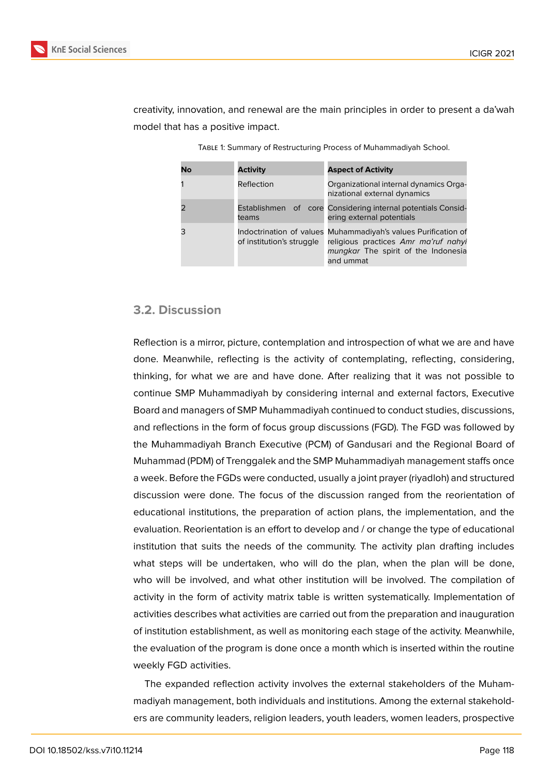

creativity, innovation, and renewal are the main principles in order to present a da'wah model that has a positive impact.

| No | <b>Activity</b>           | <b>Aspect of Activity</b>                                                                                                                                  |
|----|---------------------------|------------------------------------------------------------------------------------------------------------------------------------------------------------|
|    | Reflection                | Organizational internal dynamics Orga-<br>nizational external dynamics                                                                                     |
|    | teams                     | Establishmen of core Considering internal potentials Consid-<br>ering external potentials                                                                  |
|    | of institution's struggle | Indoctrination of values Muhammadiyah's values Purification of<br>religious practices Amr ma'ruf nahyi<br>mungkar The spirit of the Indonesia<br>and ummat |

Table 1: Summary of Restructuring Process of Muhammadiyah School.

### **3.2. Discussion**

Reflection is a mirror, picture, contemplation and introspection of what we are and have done. Meanwhile, reflecting is the activity of contemplating, reflecting, considering, thinking, for what we are and have done. After realizing that it was not possible to continue SMP Muhammadiyah by considering internal and external factors, Executive Board and managers of SMP Muhammadiyah continued to conduct studies, discussions, and reflections in the form of focus group discussions (FGD). The FGD was followed by the Muhammadiyah Branch Executive (PCM) of Gandusari and the Regional Board of Muhammad (PDM) of Trenggalek and the SMP Muhammadiyah management staffs once a week. Before the FGDs were conducted, usually a joint prayer (riyadloh) and structured discussion were done. The focus of the discussion ranged from the reorientation of educational institutions, the preparation of action plans, the implementation, and the evaluation. Reorientation is an effort to develop and / or change the type of educational institution that suits the needs of the community. The activity plan drafting includes what steps will be undertaken, who will do the plan, when the plan will be done, who will be involved, and what other institution will be involved. The compilation of activity in the form of activity matrix table is written systematically. Implementation of activities describes what activities are carried out from the preparation and inauguration of institution establishment, as well as monitoring each stage of the activity. Meanwhile, the evaluation of the program is done once a month which is inserted within the routine weekly FGD activities.

The expanded reflection activity involves the external stakeholders of the Muhammadiyah management, both individuals and institutions. Among the external stakeholders are community leaders, religion leaders, youth leaders, women leaders, prospective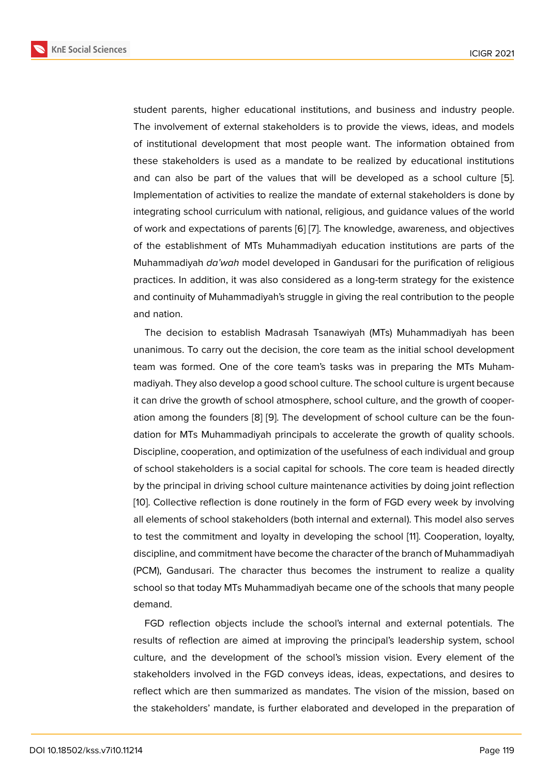student parents, higher educational institutions, and business and industry people. The involvement of external stakeholders is to provide the views, ideas, and models of institutional development that most people want. The information obtained from these stakeholders is used as a mandate to be realized by educational institutions and can also be part of the values that will be developed as a school culture [5]. Implementation of activities to realize the mandate of external stakeholders is done by integrating school curriculum with national, religious, and guidance values of the world of work and expectations of parents [6] [7]. The knowledge, awareness, and objecti[ve](#page-9-4)s of the establishment of MTs Muhammadiyah education institutions are parts of the Muhammadiyah *da'wah* model developed in Gandusari for the purification of religious practices. In addition, it was also co[nsi](#page-9-5)d[e](#page-9-6)red as a long-term strategy for the existence and continuity of Muhammadiyah's struggle in giving the real contribution to the people and nation.

The decision to establish Madrasah Tsanawiyah (MTs) Muhammadiyah has been unanimous. To carry out the decision, the core team as the initial school development team was formed. One of the core team's tasks was in preparing the MTs Muhammadiyah. They also develop a good school culture. The school culture is urgent because it can drive the growth of school atmosphere, school culture, and the growth of cooperation among the founders [8] [9]. The development of school culture can be the foundation for MTs Muhammadiyah principals to accelerate the growth of quality schools. Discipline, cooperation, and optimization of the usefulness of each individual and group of school stakeholders is a [so](#page-9-7)[cia](#page-9-8)l capital for schools. The core team is headed directly by the principal in driving school culture maintenance activities by doing joint reflection [10]. Collective reflection is done routinely in the form of FGD every week by involving all elements of school stakeholders (both internal and external). This model also serves to test the commitment and loyalty in developing the school [11]. Cooperation, loyalty, [dis](#page-9-9)cipline, and commitment have become the character of the branch of Muhammadiyah (PCM), Gandusari. The character thus becomes the instrument to realize a quality school so that today MTs Muhammadiyah became one of the s[ch](#page-9-10)ools that many people demand.

FGD reflection objects include the school's internal and external potentials. The results of reflection are aimed at improving the principal's leadership system, school culture, and the development of the school's mission vision. Every element of the stakeholders involved in the FGD conveys ideas, ideas, expectations, and desires to reflect which are then summarized as mandates. The vision of the mission, based on the stakeholders' mandate, is further elaborated and developed in the preparation of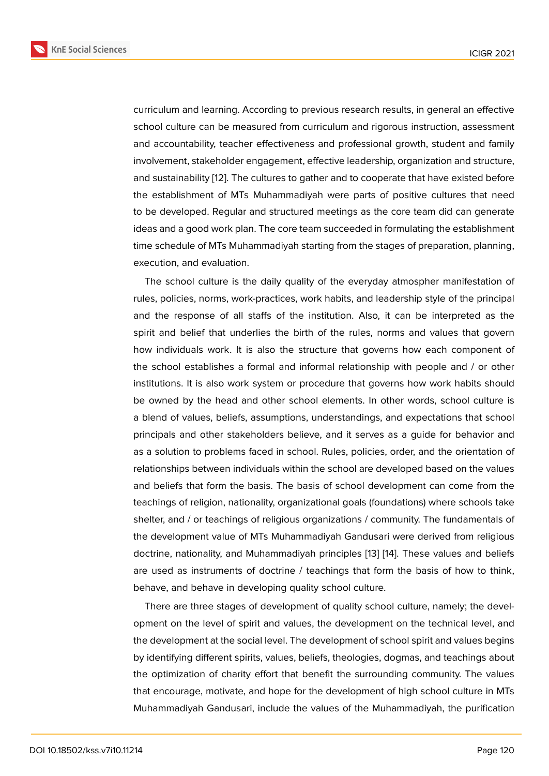curriculum and learning. According to previous research results, in general an effective school culture can be measured from curriculum and rigorous instruction, assessment and accountability, teacher effectiveness and professional growth, student and family involvement, stakeholder engagement, effective leadership, organization and structure, and sustainability [12]. The cultures to gather and to cooperate that have existed before the establishment of MTs Muhammadiyah were parts of positive cultures that need to be developed. Regular and structured meetings as the core team did can generate ideas and a good [wo](#page-9-11)rk plan. The core team succeeded in formulating the establishment time schedule of MTs Muhammadiyah starting from the stages of preparation, planning, execution, and evaluation.

The school culture is the daily quality of the everyday atmospher manifestation of rules, policies, norms, work-practices, work habits, and leadership style of the principal and the response of all staffs of the institution. Also, it can be interpreted as the spirit and belief that underlies the birth of the rules, norms and values that govern how individuals work. It is also the structure that governs how each component of the school establishes a formal and informal relationship with people and / or other institutions. It is also work system or procedure that governs how work habits should be owned by the head and other school elements. In other words, school culture is a blend of values, beliefs, assumptions, understandings, and expectations that school principals and other stakeholders believe, and it serves as a guide for behavior and as a solution to problems faced in school. Rules, policies, order, and the orientation of relationships between individuals within the school are developed based on the values and beliefs that form the basis. The basis of school development can come from the teachings of religion, nationality, organizational goals (foundations) where schools take shelter, and / or teachings of religious organizations / community. The fundamentals of the development value of MTs Muhammadiyah Gandusari were derived from religious doctrine, nationality, and Muhammadiyah principles [13] [14]. These values and beliefs are used as instruments of doctrine / teachings that form the basis of how to think, behave, and behave in developing quality school culture.

There are three stages of development of quality [sch](#page-9-12)[ool](#page-10-0) culture, namely; the development on the level of spirit and values, the development on the technical level, and the development at the social level. The development of school spirit and values begins by identifying different spirits, values, beliefs, theologies, dogmas, and teachings about the optimization of charity effort that benefit the surrounding community. The values that encourage, motivate, and hope for the development of high school culture in MTs Muhammadiyah Gandusari, include the values of the Muhammadiyah, the purification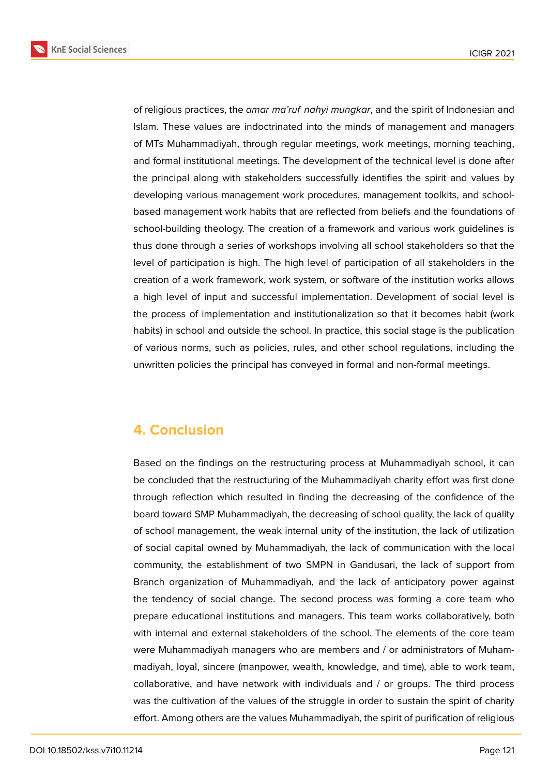**KnE Social Sciences** 



of religious practices, the *amar ma'ruf nahyi mungkar*, and the spirit of Indonesian and Islam. These values are indoctrinated into the minds of management and managers of MTs Muhammadiyah, through regular meetings, work meetings, morning teaching, and formal institutional meetings. The development of the technical level is done after the principal along with stakeholders successfully identifies the spirit and values by developing various management work procedures, management toolkits, and schoolbased management work habits that are reflected from beliefs and the foundations of school-building theology. The creation of a framework and various work guidelines is thus done through a series of workshops involving all school stakeholders so that the level of participation is high. The high level of participation of all stakeholders in the creation of a work framework, work system, or software of the institution works allows a high level of input and successful implementation. Development of social level is the process of implementation and institutionalization so that it becomes habit (work habits) in school and outside the school. In practice, this social stage is the publication of various norms, such as policies, rules, and other school regulations, including the unwritten policies the principal has conveyed in formal and non-formal meetings.

# **4. Conclusion**

Based on the findings on the restructuring process at Muhammadiyah school, it can be concluded that the restructuring of the Muhammadiyah charity effort was first done through reflection which resulted in finding the decreasing of the confidence of the board toward SMP Muhammadiyah, the decreasing of school quality, the lack of quality of school management, the weak internal unity of the institution, the lack of utilization of social capital owned by Muhammadiyah, the lack of communication with the local community, the establishment of two SMPN in Gandusari, the lack of support from Branch organization of Muhammadiyah, and the lack of anticipatory power against the tendency of social change. The second process was forming a core team who prepare educational institutions and managers. This team works collaboratively, both with internal and external stakeholders of the school. The elements of the core team were Muhammadiyah managers who are members and / or administrators of Muhammadiyah, loyal, sincere (manpower, wealth, knowledge, and time), able to work team, collaborative, and have network with individuals and / or groups. The third process was the cultivation of the values of the struggle in order to sustain the spirit of charity effort. Among others are the values Muhammadiyah, the spirit of purification of religious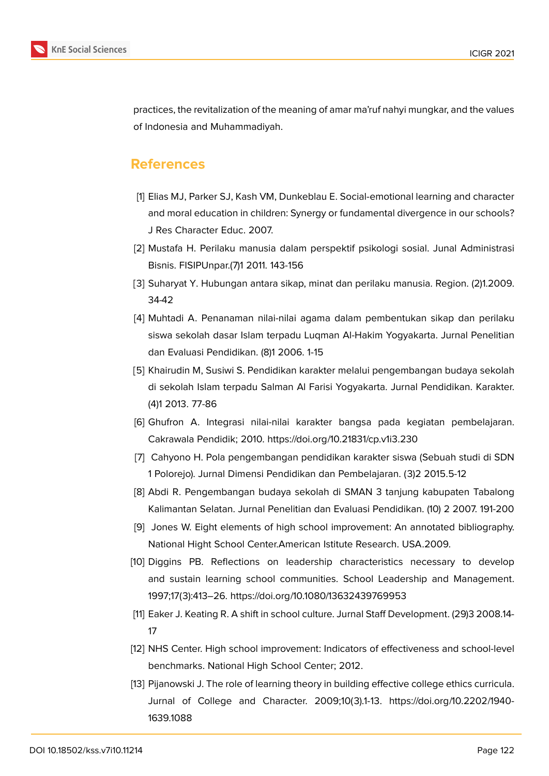

practices, the revitalization of the meaning of amar ma'ruf nahyi mungkar, and the values of Indonesia and Muhammadiyah.

## **References**

- <span id="page-9-0"></span>[1] Elias MJ, Parker SJ, Kash VM, Dunkeblau E. Social-emotional learning and character and moral education in children: Synergy or fundamental divergence in our schools? J Res Character Educ. 2007.
- <span id="page-9-1"></span>[2] Mustafa H. Perilaku manusia dalam perspektif psikologi sosial. Junal Administrasi Bisnis. FISIPUnpar.(7)1 2011. 143-156
- <span id="page-9-2"></span>[3] Suharyat Y. Hubungan antara sikap, minat dan perilaku manusia. Region. (2)1.2009. 34-42
- <span id="page-9-3"></span>[4] Muhtadi A. Penanaman nilai-nilai agama dalam pembentukan sikap dan perilaku siswa sekolah dasar Islam terpadu Luqman Al-Hakim Yogyakarta. Jurnal Penelitian dan Evaluasi Pendidikan. (8)1 2006. 1-15
- <span id="page-9-4"></span>[5] Khairudin M, Susiwi S. Pendidikan karakter melalui pengembangan budaya sekolah di sekolah Islam terpadu Salman Al Farisi Yogyakarta. Jurnal Pendidikan. Karakter. (4)1 2013. 77-86
- <span id="page-9-5"></span>[6] Ghufron A. Integrasi nilai-nilai karakter bangsa pada kegiatan pembelajaran. Cakrawala Pendidik; 2010. https://doi.org/10.21831/cp.v1i3.230
- <span id="page-9-6"></span>[7] Cahyono H. Pola pengembangan pendidikan karakter siswa (Sebuah studi di SDN 1 Polorejo). Jurnal Dimensi Pendidikan dan Pembelajaran. (3)2 2015.5-12
- <span id="page-9-7"></span>[8] Abdi R. Pengembangan budaya sekolah di SMAN 3 tanjung kabupaten Tabalong Kalimantan Selatan. Jurnal Penelitian dan Evaluasi Pendidikan. (10) 2 2007. 191-200
- <span id="page-9-8"></span>[9] Jones W. Eight elements of high school improvement: An annotated bibliography. National Hight School Center.American Istitute Research. USA.2009.
- <span id="page-9-9"></span>[10] Diggins PB. Reflections on leadership characteristics necessary to develop and sustain learning school communities. School Leadership and Management. 1997;17(3):413–26. https://doi.org/10.1080/13632439769953
- <span id="page-9-10"></span>[11] Eaker J. Keating R. A shift in school culture. Jurnal Staff Development. (29)3 2008.14- 17
- <span id="page-9-11"></span>[12] NHS Center. High school improvement: Indicators of effectiveness and school-level benchmarks. National High School Center; 2012.
- <span id="page-9-12"></span>[13] Pijanowski J. The role of learning theory in building effective college ethics curricula. Jurnal of College and Character. 2009;10(3).1-13. https://doi.org/10.2202/1940- 1639.1088